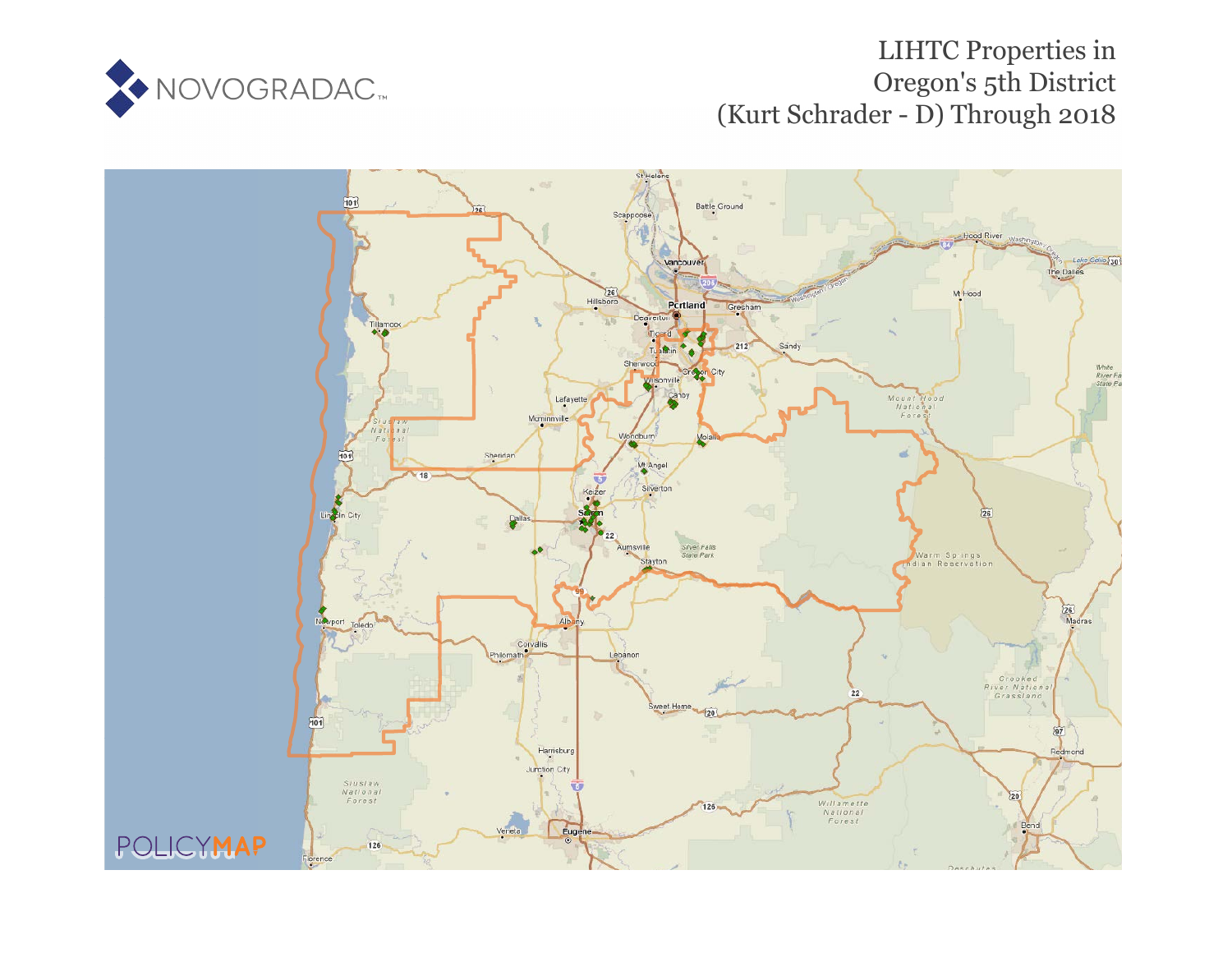

# LIHTC Properties in Oregon's 5th District (Kurt Schrader - D) Through 2018

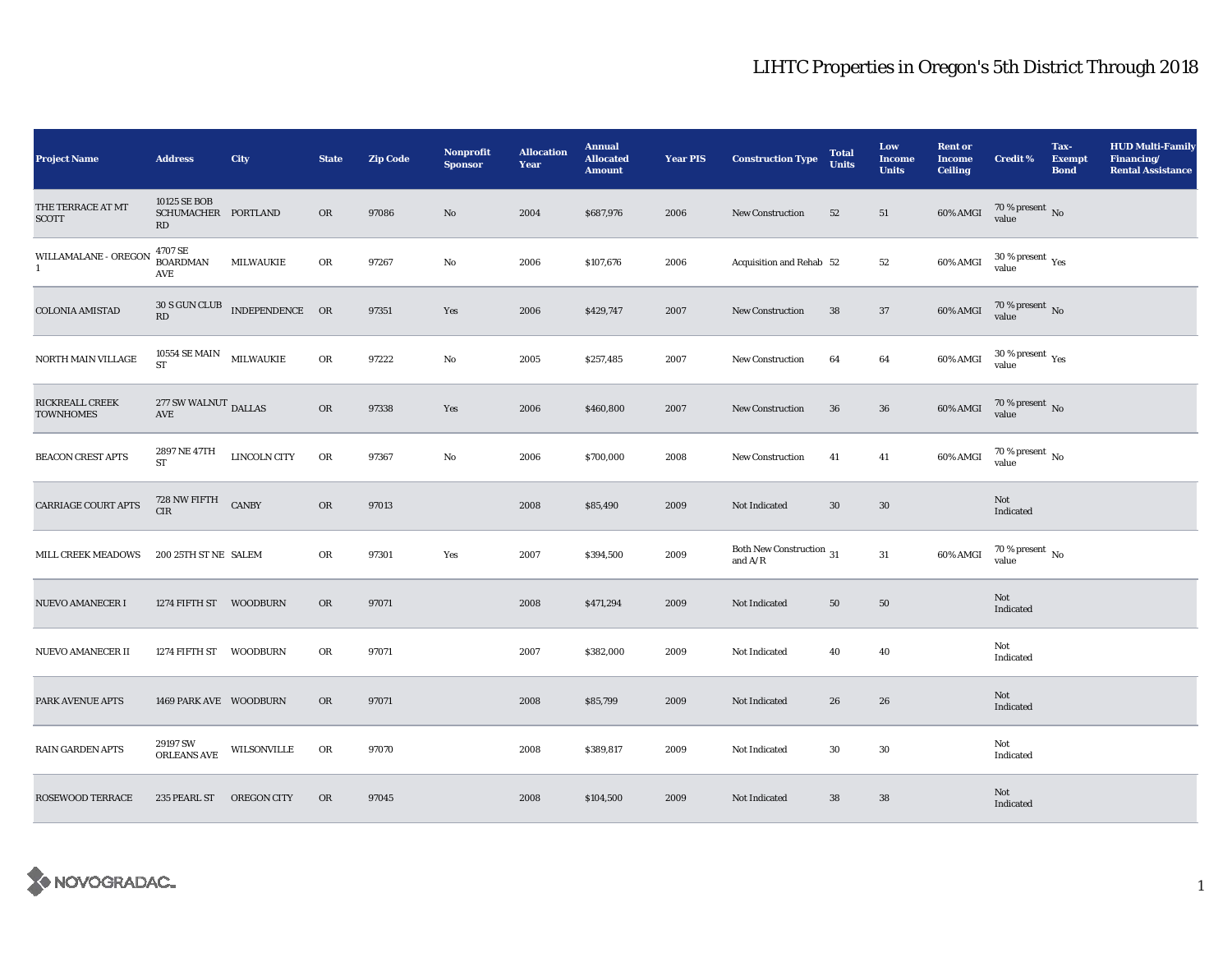| <b>Project Name</b>                        | <b>Address</b>                               | <b>City</b>                   | <b>State</b> | <b>Zip Code</b> | Nonprofit<br><b>Sponsor</b> | <b>Allocation</b><br>Year | <b>Annual</b><br><b>Allocated</b><br><b>Amount</b> | <b>Year PIS</b> | <b>Construction Type</b>                        | <b>Total</b><br><b>Units</b> | Low<br><b>Income</b><br><b>Units</b> | <b>Rent or</b><br><b>Income</b><br><b>Ceiling</b> | <b>Credit %</b>                         | Tax-<br><b>Exempt</b><br><b>Bond</b> | <b>HUD Multi-Family</b><br>Financing/<br><b>Rental Assistance</b> |
|--------------------------------------------|----------------------------------------------|-------------------------------|--------------|-----------------|-----------------------------|---------------------------|----------------------------------------------------|-----------------|-------------------------------------------------|------------------------------|--------------------------------------|---------------------------------------------------|-----------------------------------------|--------------------------------------|-------------------------------------------------------------------|
| THE TERRACE AT MT<br><b>SCOTT</b>          | 10125 SE BOB<br>SCHUMACHER PORTLAND<br>RD    |                               | OR           | 97086           | $\mathbf{N}\mathbf{o}$      | 2004                      | \$687,976                                          | 2006            | New Construction                                | 52                           | 51                                   | $60\%$ AMGI                                       | $70$ % present $\,$ No value            |                                      |                                                                   |
| WILLAMALANE - OREGON<br>$\mathbf{1}$       | 4707 SE<br><b>BOARDMAN</b><br>AVE            | <b>MILWAUKIE</b>              | OR           | 97267           | No                          | 2006                      | \$107,676                                          | 2006            | Acquisition and Rehab 52                        |                              | 52                                   | 60% AMGI                                          | $30$ % present $\,\rm Yes$ value        |                                      |                                                                   |
| <b>COLONIA AMISTAD</b>                     | $\mathbf{R}\mathbf{D}$                       | 30 S GUN CLUB INDEPENDENCE OR |              | 97351           | Yes                         | 2006                      | \$429,747                                          | 2007            | New Construction                                | 38                           | $37\,$                               | $60\%$ AMGI                                       | $70\,\%$ present $\,$ No value          |                                      |                                                                   |
| NORTH MAIN VILLAGE                         | 10554 SE MAIN $$\tt MILWAUKIE$$<br><b>ST</b> |                               | OR           | 97222           | No                          | 2005                      | \$257,485                                          | 2007            | New Construction                                | 64                           | 64                                   | 60% AMGI                                          | $30\,\%$ present $\,\mathrm{Yes}$ value |                                      |                                                                   |
| <b>RICKREALL CREEK</b><br><b>TOWNHOMES</b> | $277$ SW WALNUT $_{\rm DALLAS}$<br>AVE       |                               | OR           | 97338           | Yes                         | 2006                      | \$460,800                                          | 2007            | <b>New Construction</b>                         | 36                           | ${\bf 36}$                           | $60\%$ AMGI                                       | $70\,\%$ present $\,$ No value          |                                      |                                                                   |
| <b>BEACON CREST APTS</b>                   | 2897 NE 47TH<br>${\rm ST}$                   | <b>LINCOLN CITY</b>           | OR           | 97367           | No                          | 2006                      | \$700,000                                          | 2008            | New Construction                                | 41                           | 41                                   | 60% AMGI                                          | $70\,\%$ present $\,$ No value          |                                      |                                                                   |
| CARRIAGE COURT APTS                        | $728$ NW FIFTH $\quad$ CANBY CIR             |                               | OR           | 97013           |                             | 2008                      | \$85,490                                           | 2009            | Not Indicated                                   | 30                           | $30\,$                               |                                                   | Not<br>Indicated                        |                                      |                                                                   |
| <b>MILL CREEK MEADOWS</b>                  | 200 25TH ST NE SALEM                         |                               | OR           | 97301           | Yes                         | 2007                      | \$394,500                                          | 2009            | Both New Construction $\,$ 31 $\,$<br>and $A/R$ |                              | $31\,$                               | 60% AMGI                                          | $70\,\%$ present $\,$ No value          |                                      |                                                                   |
| NUEVO AMANECER I                           | 1274 FIFTH ST WOODBURN                       |                               | OR           | 97071           |                             | 2008                      | \$471,294                                          | 2009            | Not Indicated                                   | 50                           | 50                                   |                                                   | Not<br>Indicated                        |                                      |                                                                   |
| NUEVO AMANECER II                          | 1274 FIFTH ST WOODBURN                       |                               | OR           | 97071           |                             | 2007                      | \$382,000                                          | 2009            | Not Indicated                                   | 40                           | 40                                   |                                                   | Not<br>Indicated                        |                                      |                                                                   |
| PARK AVENUE APTS                           | 1469 PARK AVE WOODBURN                       |                               | <b>OR</b>    | 97071           |                             | 2008                      | \$85,799                                           | 2009            | Not Indicated                                   | 26                           | 26                                   |                                                   | Not<br>Indicated                        |                                      |                                                                   |
| <b>RAIN GARDEN APTS</b>                    | 29197 SW<br><b>ORLEANS AVE</b>               | $\textit{WILSONVILLE}$        | OR           | 97070           |                             | 2008                      | \$389,817                                          | 2009            | Not Indicated                                   | 30                           | 30                                   |                                                   | Not<br>Indicated                        |                                      |                                                                   |
| <b>ROSEWOOD TERRACE</b>                    | 235 PEARL ST                                 | <b>OREGON CITY</b>            | <b>OR</b>    | 97045           |                             | 2008                      | \$104,500                                          | 2009            | Not Indicated                                   | 38                           | ${\bf 38}$                           |                                                   | Not<br>Indicated                        |                                      |                                                                   |

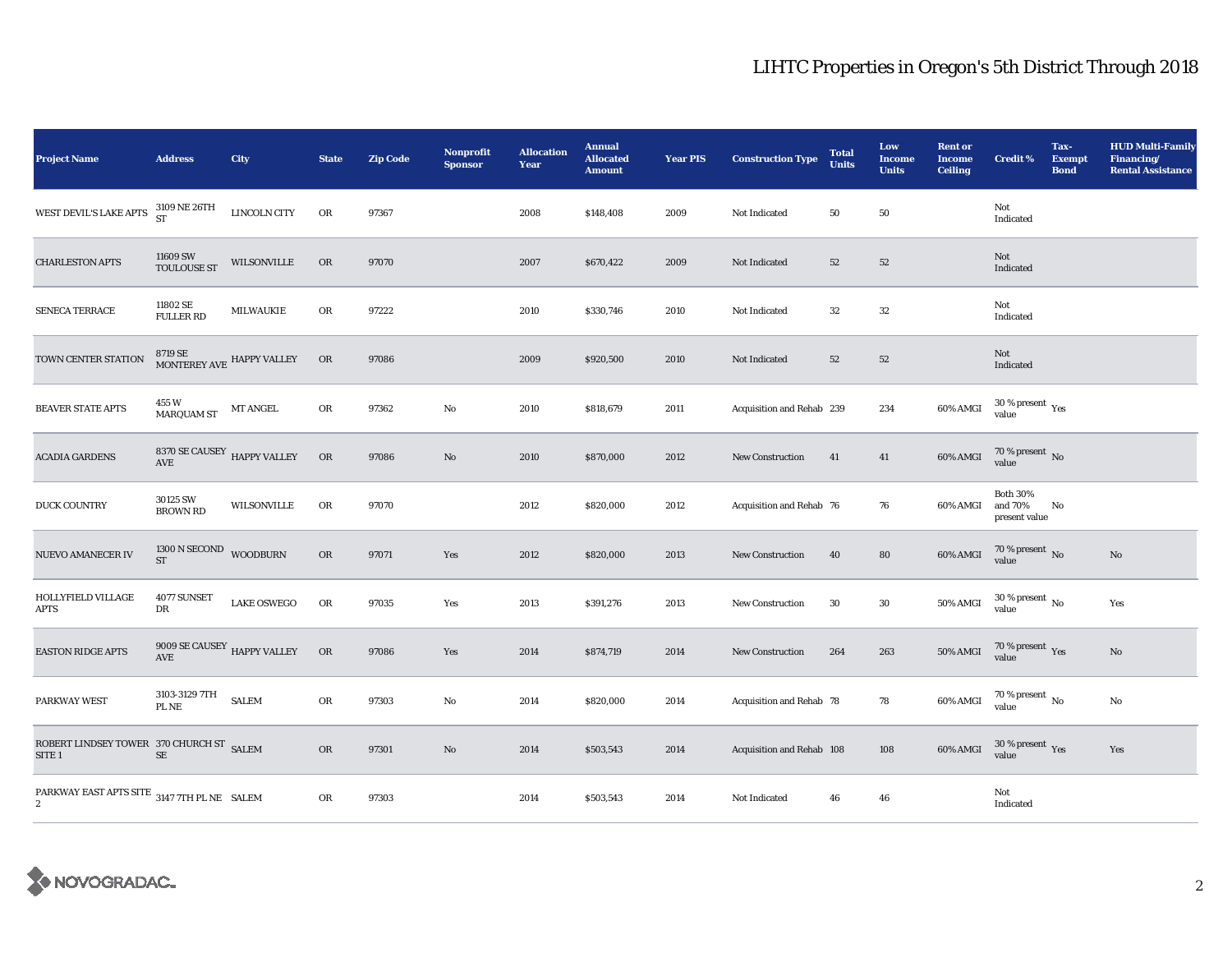| <b>Project Name</b>                                           | <b>Address</b>                                           | City               | <b>State</b> | <b>Zip Code</b> | <b>Nonprofit</b><br><b>Sponsor</b> | <b>Allocation</b><br>Year | <b>Annual</b><br><b>Allocated</b><br><b>Amount</b> | <b>Year PIS</b> | <b>Construction Type</b>  | <b>Total</b><br><b>Units</b> | Low<br><b>Income</b><br><b>Units</b> | <b>Rent or</b><br><b>Income</b><br><b>Ceiling</b> | <b>Credit %</b>                             | Tax-<br><b>Exempt</b><br><b>Bond</b> | <b>HUD Multi-Family</b><br>Financing/<br><b>Rental Assistance</b> |
|---------------------------------------------------------------|----------------------------------------------------------|--------------------|--------------|-----------------|------------------------------------|---------------------------|----------------------------------------------------|-----------------|---------------------------|------------------------------|--------------------------------------|---------------------------------------------------|---------------------------------------------|--------------------------------------|-------------------------------------------------------------------|
| WEST DEVIL'S LAKE APTS 3109 NE 26TH                           |                                                          | LINCOLN CITY       | OR           | 97367           |                                    | 2008                      | \$148,408                                          | 2009            | Not Indicated             | 50                           | 50                                   |                                                   | Not<br>Indicated                            |                                      |                                                                   |
| <b>CHARLESTON APTS</b>                                        | 11609 SW<br><b>TOULOUSE ST</b>                           | WILSONVILLE        | OR           | 97070           |                                    | 2007                      | \$670,422                                          | 2009            | Not Indicated             | 52                           | $52\,$                               |                                                   | Not<br>Indicated                            |                                      |                                                                   |
| SENECA TERRACE                                                | 11802 SE<br><b>FULLER RD</b>                             | <b>MILWAUKIE</b>   | OR           | 97222           |                                    | 2010                      | \$330,746                                          | 2010            | Not Indicated             | $32\,$                       | $32\,$                               |                                                   | Not<br>Indicated                            |                                      |                                                                   |
| TOWN CENTER STATION                                           | $8719$ SE $$\tt{MONTEREY}$ AVE $$\tt{HAPPY}$ VALLEY      |                    | OR           | 97086           |                                    | 2009                      | \$920,500                                          | 2010            | Not Indicated             | 52                           | 52                                   |                                                   | Not<br>Indicated                            |                                      |                                                                   |
| <b>BEAVER STATE APTS</b>                                      | 455 W<br><b>MARQUAM ST</b>                               | MT ANGEL           | OR           | 97362           | No                                 | 2010                      | \$818,679                                          | 2011            | Acquisition and Rehab 239 |                              | 234                                  | 60% AMGI                                          | $30\,\%$ present $\,\mathrm{Yes}$ value     |                                      |                                                                   |
| <b>ACADIA GARDENS</b>                                         | $8370$ SE CAUSEY $$\,$ HAPPY VALLEY AVE                  |                    | OR           | 97086           | $\mathbf{No}$                      | 2010                      | \$870,000                                          | 2012            | New Construction          | 41                           | 41                                   | 60% AMGI                                          | $70$ % present $\,$ No value                |                                      |                                                                   |
| <b>DUCK COUNTRY</b>                                           | 30125 SW<br><b>BROWN RD</b>                              | <b>WILSONVILLE</b> | OR           | 97070           |                                    | 2012                      | \$820,000                                          | 2012            | Acquisition and Rehab 76  |                              | 76                                   | 60% AMGI                                          | <b>Both 30%</b><br>and 70%<br>present value | No                                   |                                                                   |
| <b>NUEVO AMANECER IV</b>                                      | 1300 N SECOND<br><b>ST</b>                               | <b>WOODBURN</b>    | OR           | 97071           | Yes                                | 2012                      | \$820,000                                          | 2013            | <b>New Construction</b>   | 40                           | 80                                   | 60% AMGI                                          | $70$ % present $\,$ No $\,$ value           |                                      | No                                                                |
| HOLLYFIELD VILLAGE<br><b>APTS</b>                             | 4077 SUNSET<br>DR                                        | <b>LAKE OSWEGO</b> | $_{\rm OR}$  | 97035           | Yes                                | 2013                      | \$391,276                                          | 2013            | New Construction          | 30                           | $30\,$                               | <b>50% AMGI</b>                                   | $30$ % present $\,$ No value                |                                      | Yes                                                               |
| <b>EASTON RIDGE APTS</b>                                      | 9009 SE CAUSEY $\,$ HAPPY VALLEY<br>$\operatorname{AVE}$ |                    | OR           | 97086           | Yes                                | 2014                      | \$874,719                                          | 2014            | <b>New Construction</b>   | 264                          | 263                                  | <b>50% AMGI</b>                                   | $70$ % present $\,$ $\rm Yes$ value         |                                      | No                                                                |
| PARKWAY WEST                                                  | 3103-3129 7TH<br>PL NE                                   | <b>SALEM</b>       | OR           | 97303           | No                                 | 2014                      | \$820,000                                          | 2014            | Acquisition and Rehab 78  |                              | 78                                   | $60\%$ AMGI                                       | $70$ % present $\,$ No $\,$ value $\,$      |                                      | No                                                                |
| ROBERT LINDSEY TOWER 370 CHURCH ST SALEM<br>SITE <sub>1</sub> | $\rm SE$                                                 |                    | OR           | 97301           | $\mathbf{N}\mathbf{o}$             | 2014                      | \$503,543                                          | 2014            | Acquisition and Rehab 108 |                              | 108                                  | $60\%$ AMGI                                       | $30\,\%$ present $\,$ Yes value             |                                      | Yes                                                               |
| PARKWAY EAST APTS SITE 3147 7TH PL NE SALEM<br>$\mathbf{2}$   |                                                          |                    | OR           | 97303           |                                    | 2014                      | \$503,543                                          | 2014            | Not Indicated             | 46                           | 46                                   |                                                   | Not<br>Indicated                            |                                      |                                                                   |

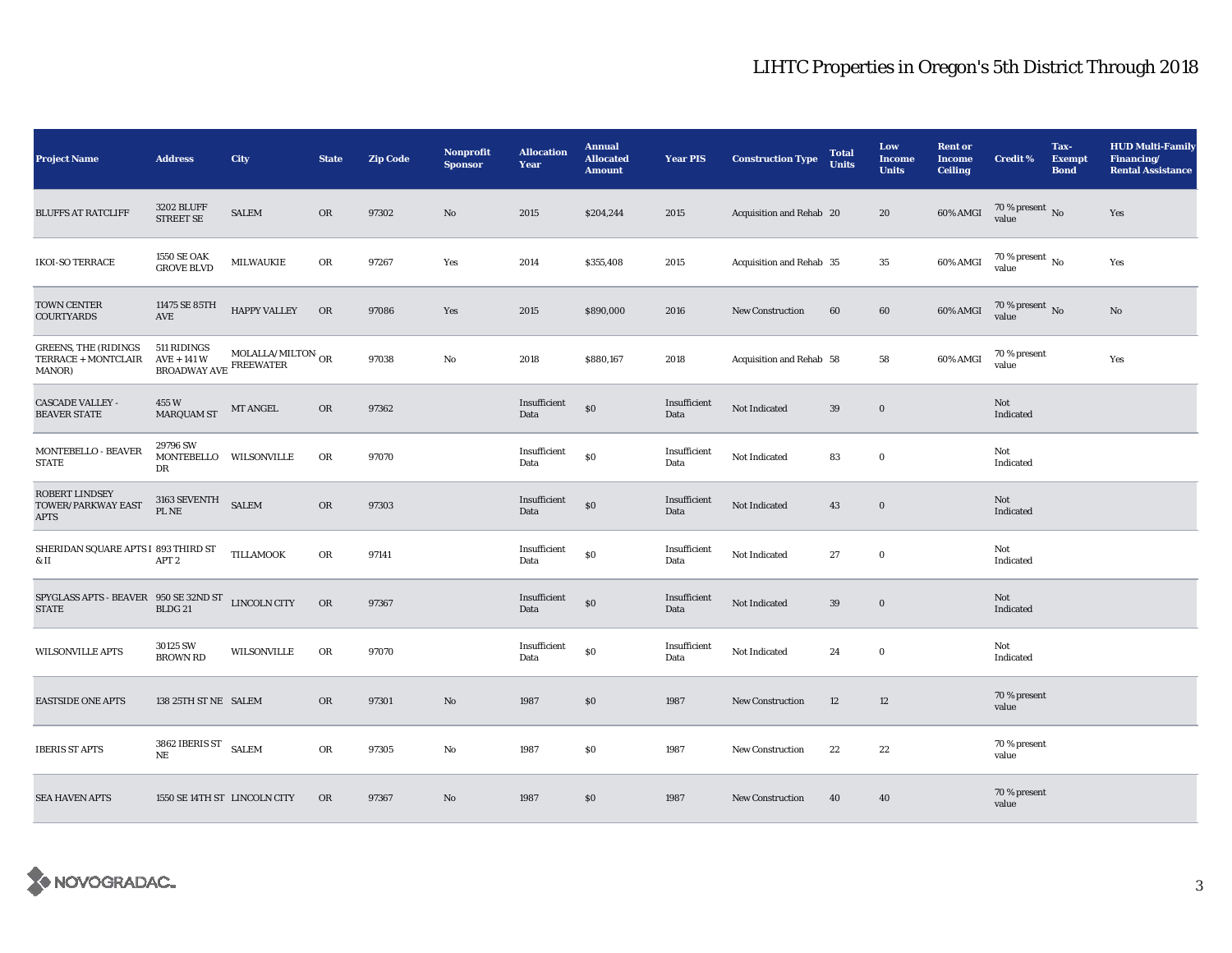| <b>Project Name</b>                                                                                                                                                              | <b>Address</b>                                         | <b>City</b>                     | <b>State</b> | <b>Zip Code</b> | <b>Nonprofit</b><br><b>Sponsor</b> | <b>Allocation</b><br>Year | <b>Annual</b><br><b>Allocated</b><br><b>Amount</b> | <b>Year PIS</b>      | <b>Construction Type</b> | <b>Total</b><br><b>Units</b> | Low<br><b>Income</b><br><b>Units</b> | <b>Rent or</b><br><b>Income</b><br><b>Ceiling</b> | <b>Credit %</b>                        | Tax-<br><b>Exempt</b><br><b>Bond</b> | <b>HUD Multi-Family</b><br>Financing/<br><b>Rental Assistance</b> |
|----------------------------------------------------------------------------------------------------------------------------------------------------------------------------------|--------------------------------------------------------|---------------------------------|--------------|-----------------|------------------------------------|---------------------------|----------------------------------------------------|----------------------|--------------------------|------------------------------|--------------------------------------|---------------------------------------------------|----------------------------------------|--------------------------------------|-------------------------------------------------------------------|
| <b>BLUFFS AT RATCLIFF</b>                                                                                                                                                        | <b>3202 BLUFF</b><br><b>STREET SE</b>                  | <b>SALEM</b>                    | <b>OR</b>    | 97302           | $\rm No$                           | 2015                      | \$204,244                                          | 2015                 | Acquisition and Rehab 20 |                              | 20                                   | 60% AMGI                                          | $70$ % present $\,$ No $\,$ value $\,$ |                                      | Yes                                                               |
| <b>IKOI-SO TERRACE</b>                                                                                                                                                           | <b>1550 SE OAK</b><br><b>GROVE BLVD</b>                | MILWAUKIE                       | <b>OR</b>    | 97267           | Yes                                | 2014                      | \$355,408                                          | 2015                 | Acquisition and Rehab 35 |                              | $35\,$                               | 60% AMGI                                          | $70$ % present $\,$ No value           |                                      | Yes                                                               |
| TOWN CENTER<br><b>COURTYARDS</b>                                                                                                                                                 | 11475 SE 85TH<br>AVE                                   | <b>HAPPY VALLEY</b>             | <b>OR</b>    | 97086           | Yes                                | 2015                      | \$890,000                                          | 2016                 | <b>New Construction</b>  | 60                           | 60                                   | 60% AMGI                                          | $70$ % present $\,$ No $\,$ value $\,$ |                                      | No                                                                |
| <b>GREENS, THE (RIDINGS</b><br>TERRACE + MONTCLAIR<br>MANOR)                                                                                                                     | 511 RIDINGS<br>$AVE + 141$ W<br>BROADWAY AVE FREEWATER | MOLALLA/MILTON $_{\mathrm{OR}}$ |              | 97038           | No                                 | 2018                      | \$880,167                                          | 2018                 | Acquisition and Rehab 58 |                              | 58                                   | 60% AMGI                                          | 70 % present<br>value                  |                                      | Yes                                                               |
| <b>CASCADE VALLEY -</b><br><b>BEAVER STATE</b>                                                                                                                                   | 455 W<br><b>MARQUAM ST</b>                             | MT ANGEL                        | OR           | 97362           |                                    | Insufficient<br>Data      | \$0                                                | Insufficient<br>Data | Not Indicated            | 39                           | $\bf{0}$                             |                                                   | Not<br>Indicated                       |                                      |                                                                   |
| MONTEBELLO - BEAVER<br><b>STATE</b>                                                                                                                                              | 29796 SW<br>MONTEBELLO WILSONVILLE<br>DR               |                                 | OR           | 97070           |                                    | Insufficient<br>Data      | \$0                                                | Insufficient<br>Data | Not Indicated            | 83                           | $\mathbf 0$                          |                                                   | Not<br>Indicated                       |                                      |                                                                   |
| <b>ROBERT LINDSEY</b><br>TOWER/PARKWAY EAST<br><b>APTS</b>                                                                                                                       | 3163 SEVENTH<br>PL NE                                  | <b>SALEM</b>                    | OR           | 97303           |                                    | Insufficient<br>Data      | \$0                                                | Insufficient<br>Data | Not Indicated            | 43                           | $\bf{0}$                             |                                                   | Not<br>Indicated                       |                                      |                                                                   |
| SHERIDAN SQUARE APTS I 893 THIRD ST<br>& II                                                                                                                                      | APT <sub>2</sub>                                       | TILLAMOOK                       | OR           | 97141           |                                    | Insufficient<br>Data      | \$0                                                | Insufficient<br>Data | Not Indicated            | 27                           | $\mathbf 0$                          |                                                   | Not<br>Indicated                       |                                      |                                                                   |
| ${\begin{tabular}{ll} \bf SPIGLAS}\ \texttt{APTS}\cdot{\bf BEAVER} & 950\ \texttt{SE}\ 32ND\ {\bf ST} & \texttt{LINCOLN}\ \texttt{CTTY} \\ & \texttt{BLDG}\ 21 & \end{tabular}}$ |                                                        |                                 | ${\rm OR}$   | 97367           |                                    | Insufficient<br>Data      | \$0                                                | Insufficient<br>Data | Not Indicated            | 39                           | $\boldsymbol{0}$                     |                                                   | Not<br>Indicated                       |                                      |                                                                   |
| WILSONVILLE APTS                                                                                                                                                                 | 30125 SW<br><b>BROWN RD</b>                            | WILSONVILLE                     | OR           | 97070           |                                    | Insufficient<br>Data      | \$0                                                | Insufficient<br>Data | Not Indicated            | 24                           | $\mathbf 0$                          |                                                   | Not<br>Indicated                       |                                      |                                                                   |
| <b>EASTSIDE ONE APTS</b>                                                                                                                                                         | 138 25TH ST NE SALEM                                   |                                 | <b>OR</b>    | 97301           | No                                 | 1987                      | \$0                                                | 1987                 | <b>New Construction</b>  | 12                           | 12                                   |                                                   | 70 % present<br>value                  |                                      |                                                                   |
| <b>IBERIS ST APTS</b>                                                                                                                                                            | 3862 IBERIS ST SALEM<br>$\rm NE$                       |                                 | <b>OR</b>    | 97305           | No                                 | 1987                      | \$0                                                | 1987                 | <b>New Construction</b>  | 22                           | 22                                   |                                                   | 70 % present<br>value                  |                                      |                                                                   |
| <b>SEA HAVEN APTS</b>                                                                                                                                                            | 1550 SE 14TH ST LINCOLN CITY                           |                                 | <b>OR</b>    | 97367           | $\rm No$                           | 1987                      | \$0                                                | 1987                 | New Construction         | 40                           | 40                                   |                                                   | 70 % present<br>value                  |                                      |                                                                   |

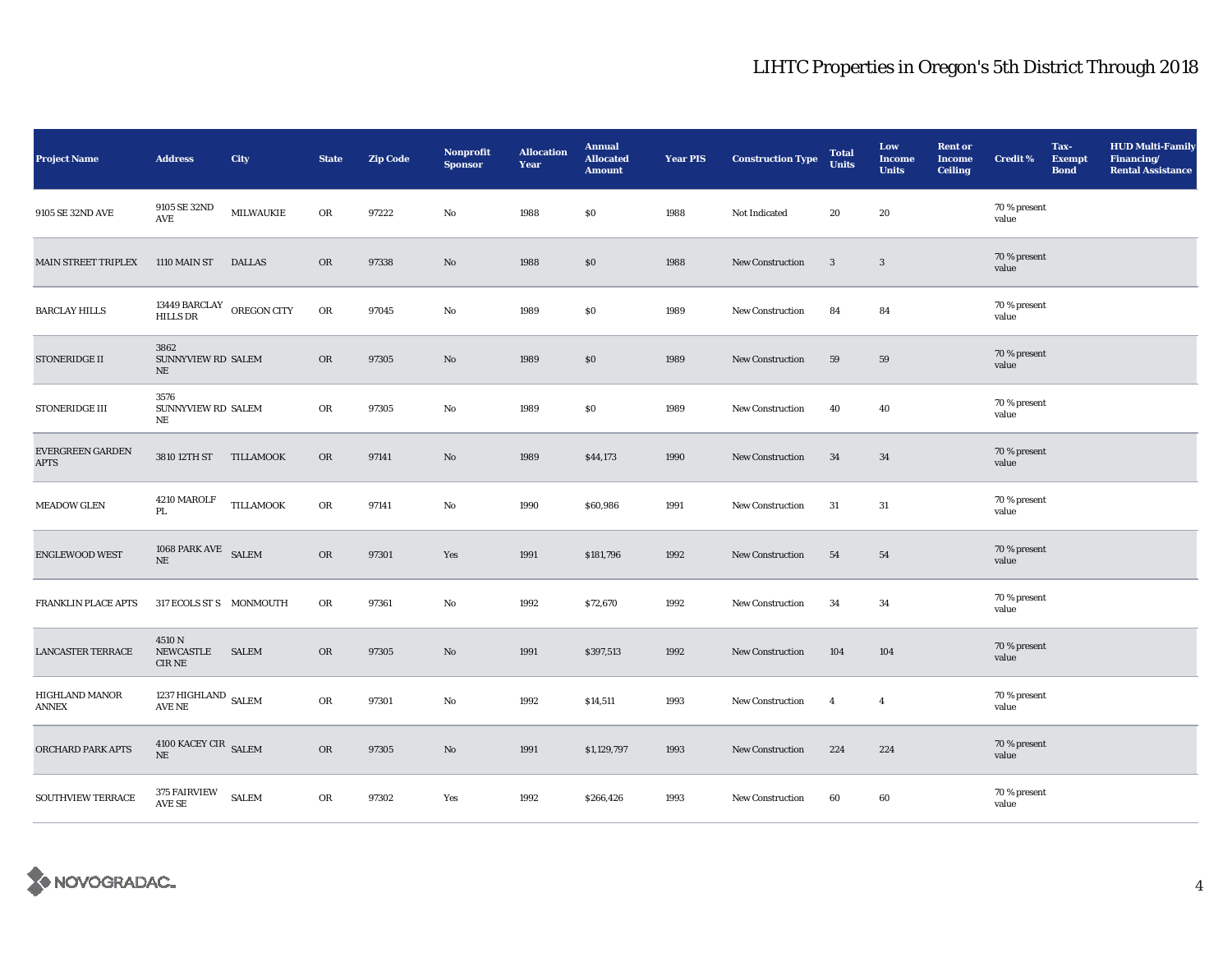| <b>Project Name</b>             | <b>Address</b>                               | City             | <b>State</b> | <b>Zip Code</b> | <b>Nonprofit</b><br><b>Sponsor</b> | <b>Allocation</b><br>Year | <b>Annual</b><br><b>Allocated</b><br><b>Amount</b> | <b>Year PIS</b> | <b>Construction Type</b> | <b>Total</b><br><b>Units</b> | Low<br><b>Income</b><br><b>Units</b> | <b>Rent or</b><br><b>Income</b><br><b>Ceiling</b> | <b>Credit %</b>       | Tax-<br><b>Exempt</b><br><b>Bond</b> | <b>HUD Multi-Family</b><br>Financing/<br><b>Rental Assistance</b> |
|---------------------------------|----------------------------------------------|------------------|--------------|-----------------|------------------------------------|---------------------------|----------------------------------------------------|-----------------|--------------------------|------------------------------|--------------------------------------|---------------------------------------------------|-----------------------|--------------------------------------|-------------------------------------------------------------------|
| 9105 SE 32ND AVE                | 9105 SE 32ND<br>AVE                          | <b>MILWAUKIE</b> | OR           | 97222           | No                                 | 1988                      | \$0                                                | 1988            | Not Indicated            | 20                           | 20                                   |                                                   | 70 % present<br>value |                                      |                                                                   |
| MAIN STREET TRIPLEX             | 1110 MAIN ST                                 | <b>DALLAS</b>    | <b>OR</b>    | 97338           | No                                 | 1988                      | \$0                                                | 1988            | New Construction         | 3                            | $\mathbf{3}$                         |                                                   | 70 % present<br>value |                                      |                                                                   |
| <b>BARCLAY HILLS</b>            | 13449 BARCLAY OREGON CITY<br><b>HILLS DR</b> |                  | $_{\rm OR}$  | 97045           | No                                 | 1989                      | \$0                                                | 1989            | New Construction         | 84                           | 84                                   |                                                   | 70 % present<br>value |                                      |                                                                   |
| STONERIDGE II                   | 3862<br>SUNNYVIEW RD SALEM<br>NE             |                  | <b>OR</b>    | 97305           | $\mathbf{N}\mathbf{o}$             | 1989                      | \$0                                                | 1989            | <b>New Construction</b>  | 59                           | 59                                   |                                                   | 70 % present<br>value |                                      |                                                                   |
| <b>STONERIDGE III</b>           | 3576<br>SUNNYVIEW RD SALEM<br>NE             |                  | OR           | 97305           | $\mathbf{N}\mathbf{o}$             | 1989                      | $\$0$                                              | 1989            | New Construction         | 40                           | 40                                   |                                                   | 70 % present<br>value |                                      |                                                                   |
| EVERGREEN GARDEN<br><b>APTS</b> | 3810 12TH ST                                 | TILLAMOOK        | ${\rm OR}$   | 97141           | No                                 | 1989                      | \$44,173                                           | 1990            | New Construction         | 34                           | 34                                   |                                                   | 70 % present<br>value |                                      |                                                                   |
| <b>MEADOW GLEN</b>              | 4210 MAROLF<br>PL                            | <b>TILLAMOOK</b> | ${\rm OR}$   | 97141           | No                                 | 1990                      | \$60,986                                           | 1991            | <b>New Construction</b>  | 31                           | $31\,$                               |                                                   | 70 % present<br>value |                                      |                                                                   |
| <b>ENGLEWOOD WEST</b>           | 1068 PARK AVE SALEM<br>NE                    |                  | OR           | 97301           | Yes                                | 1991                      | \$181,796                                          | 1992            | <b>New Construction</b>  | 54                           | 54                                   |                                                   | 70 % present<br>value |                                      |                                                                   |
| FRANKLIN PLACE APTS             | 317 ECOLS ST S MONMOUTH                      |                  | ${\rm OR}$   | 97361           | No                                 | 1992                      | \$72,670                                           | 1992            | New Construction         | 34                           | 34                                   |                                                   | 70 % present<br>value |                                      |                                                                   |
| <b>LANCASTER TERRACE</b>        | 4510 N<br>NEWCASTLE<br>$\rm CIR$ NE          | <b>SALEM</b>     | OR           | 97305           | No                                 | 1991                      | \$397,513                                          | 1992            | <b>New Construction</b>  | 104                          | 104                                  |                                                   | 70 % present<br>value |                                      |                                                                   |
| HIGHLAND MANOR<br>ANNEX         | 1237 HIGHLAND SALEM<br>AVE NE                |                  | OR           | 97301           | No                                 | 1992                      | \$14,511                                           | 1993            | New Construction         | $\overline{4}$               | $\overline{4}$                       |                                                   | 70 % present<br>value |                                      |                                                                   |
| ORCHARD PARK APTS               | $4100$ KACEY CIR $_{\rm SALEM}$<br>$\rm NE$  |                  | OR           | 97305           | $\mathbf{No}$                      | 1991                      | \$1,129,797                                        | 1993            | New Construction         | 224                          | 224                                  |                                                   | 70 % present<br>value |                                      |                                                                   |
| SOUTHVIEW TERRACE               | 375 FAIRVIEW<br>AVE SE                       | <b>SALEM</b>     | OR           | 97302           | Yes                                | 1992                      | \$266,426                                          | 1993            | New Construction         | 60                           | 60                                   |                                                   | 70 % present<br>value |                                      |                                                                   |

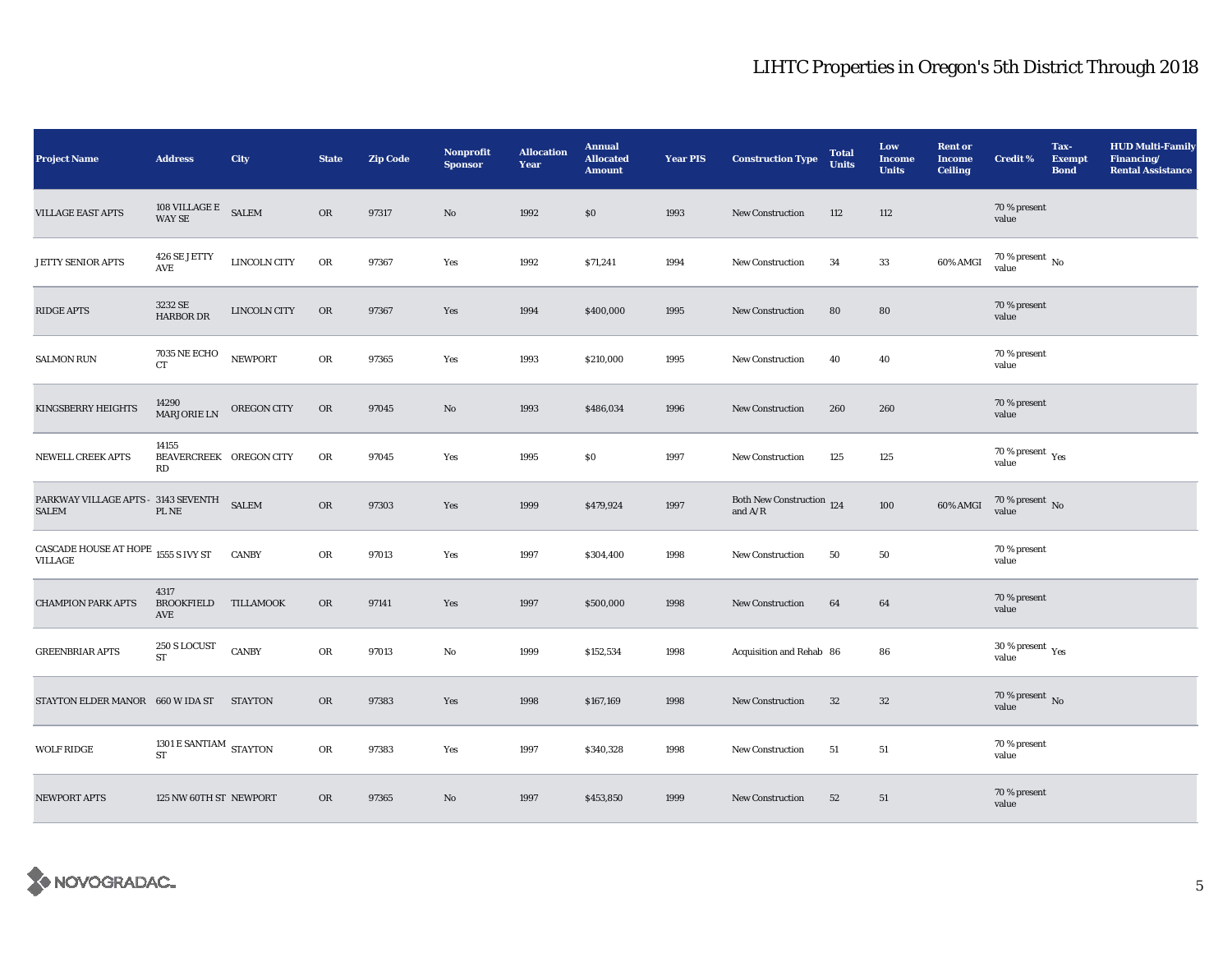| <b>Project Name</b>                                     | <b>Address</b>                         | City               | <b>State</b> | <b>Zip Code</b> | Nonprofit<br><b>Sponsor</b> | <b>Allocation</b><br>Year | <b>Annual</b><br><b>Allocated</b><br><b>Amount</b> | <b>Year PIS</b> | <b>Construction Type</b>                                                           | <b>Total</b><br><b>Units</b> | Low<br><b>Income</b><br><b>Units</b> | <b>Rent or</b><br><b>Income</b><br><b>Ceiling</b> | <b>Credit %</b>                             | Tax-<br><b>Exempt</b><br><b>Bond</b> | <b>HUD Multi-Family</b><br>Financing/<br><b>Rental Assistance</b> |
|---------------------------------------------------------|----------------------------------------|--------------------|--------------|-----------------|-----------------------------|---------------------------|----------------------------------------------------|-----------------|------------------------------------------------------------------------------------|------------------------------|--------------------------------------|---------------------------------------------------|---------------------------------------------|--------------------------------------|-------------------------------------------------------------------|
| <b>VILLAGE EAST APTS</b>                                | $108$ VILLAGE E<br><b>WAY SE</b>       | <b>SALEM</b>       | OR           | 97317           | $\mathbf{N}\mathbf{o}$      | 1992                      | \$0\$                                              | 1993            | New Construction                                                                   | 112                          | 112                                  |                                                   | 70 % present<br>value                       |                                      |                                                                   |
| JETTY SENIOR APTS                                       | 426 SE JETTY<br>AVE                    | LINCOLN CITY       | OR           | 97367           | Yes                         | 1992                      | \$71,241                                           | 1994            | New Construction                                                                   | 34                           | 33                                   | 60% AMGI                                          | $70\,\%$ present $\,$ No value              |                                      |                                                                   |
| <b>RIDGE APTS</b>                                       | 3232 SE<br>HARBOR DR                   | LINCOLN CITY       | OR           | 97367           | Yes                         | 1994                      | \$400,000                                          | 1995            | New Construction                                                                   | 80                           | 80                                   |                                                   | 70 % present<br>value                       |                                      |                                                                   |
| <b>SALMON RUN</b>                                       | <b>7035 NE ECHO</b><br>CT              | <b>NEWPORT</b>     | OR           | 97365           | Yes                         | 1993                      | \$210,000                                          | 1995            | New Construction                                                                   | 40                           | 40                                   |                                                   | 70 % present<br>value                       |                                      |                                                                   |
| <b>KINGSBERRY HEIGHTS</b>                               | 14290<br><b>MARJORIE LN</b>            | <b>OREGON CITY</b> | OR           | 97045           | No                          | 1993                      | \$486,034                                          | 1996            | <b>New Construction</b>                                                            | 260                          | 260                                  |                                                   | 70 % present<br>value                       |                                      |                                                                   |
| <b>NEWELL CREEK APTS</b>                                | 14155<br>BEAVERCREEK OREGON CITY<br>RD |                    | ${\rm OR}$   | 97045           | Yes                         | 1995                      | \$0                                                | 1997            | New Construction                                                                   | 125                          | 125                                  |                                                   | $70$ % present $\,$ $\rm{Yes}$<br>value     |                                      |                                                                   |
| PARKWAY VILLAGE APTS - 3143 SEVENTH<br><b>SALEM</b>     | PL NE                                  | <b>SALEM</b>       | OR           | 97303           | Yes                         | 1999                      | \$479,924                                          | 1997            | Both New Construction 124<br>and $\ensuremath{\mathrm{A}}/\ensuremath{\mathrm{R}}$ |                              | 100                                  | 60% AMGI                                          | $70$ % present $\,$ No value                |                                      |                                                                   |
| CASCADE HOUSE AT HOPE $_{\rm 1555~S}$ IVY ST<br>VILLAGE |                                        | <b>CANBY</b>       | OR           | 97013           | Yes                         | 1997                      | \$304,400                                          | 1998            | <b>New Construction</b>                                                            | 50                           | 50                                   |                                                   | 70 % present<br>value                       |                                      |                                                                   |
| <b>CHAMPION PARK APTS</b>                               | 4317<br>BROOKFIELD TILLAMOOK<br>AVE    |                    | OR           | 97141           | Yes                         | 1997                      | \$500,000                                          | 1998            | New Construction                                                                   | 64                           | 64                                   |                                                   | 70 % present<br>value                       |                                      |                                                                   |
| <b>GREENBRIAR APTS</b>                                  | 250 S LOCUST<br>${\rm ST}$             | <b>CANBY</b>       | OR           | 97013           | No                          | 1999                      | \$152,534                                          | 1998            | Acquisition and Rehab 86                                                           |                              | 86                                   |                                                   | 30 % present $\rm \gamma_{\rm es}$<br>value |                                      |                                                                   |
| STAYTON ELDER MANOR 660 W IDA ST                        |                                        | <b>STAYTON</b>     | OR           | 97383           | Yes                         | 1998                      | \$167,169                                          | 1998            | New Construction                                                                   | 32                           | 32                                   |                                                   | $70$ % present $\,$ No value                |                                      |                                                                   |
| <b>WOLF RIDGE</b>                                       | 1301 E SANTIAM STAYTON<br>ST           |                    | OR           | 97383           | Yes                         | 1997                      | \$340,328                                          | 1998            | New Construction                                                                   | 51                           | 51                                   |                                                   | 70 % present<br>value                       |                                      |                                                                   |
| NEWPORT APTS                                            | 125 NW 60TH ST NEWPORT                 |                    | OR           | 97365           | No                          | 1997                      | \$453,850                                          | 1999            | New Construction                                                                   | 52                           | 51                                   |                                                   | 70 % present<br>value                       |                                      |                                                                   |

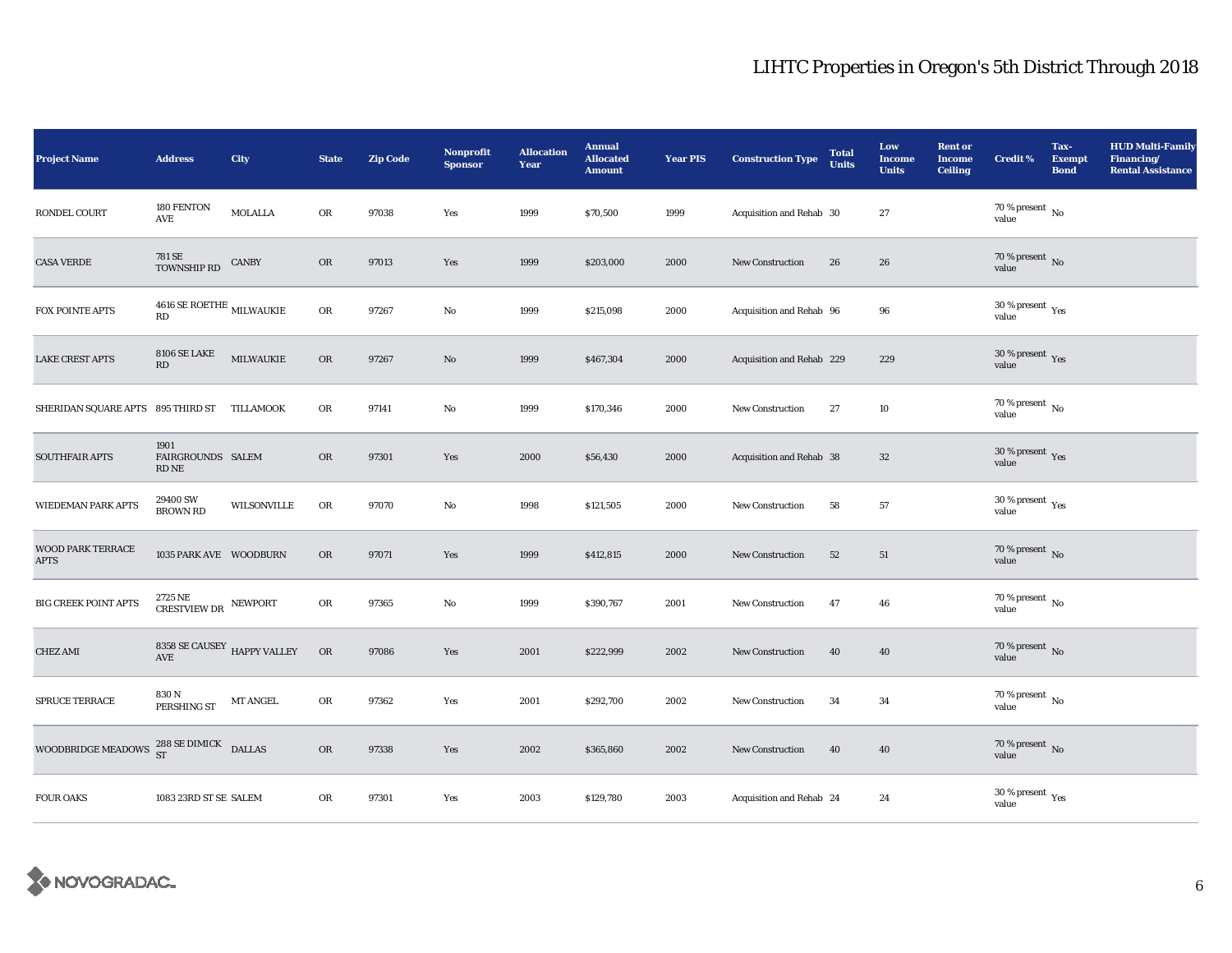| <b>Project Name</b>                               | <b>Address</b>                                          | City                      | <b>State</b> | <b>Zip Code</b> | <b>Nonprofit</b><br><b>Sponsor</b> | <b>Allocation</b><br>Year | <b>Annual</b><br><b>Allocated</b><br><b>Amount</b> | <b>Year PIS</b> | <b>Construction Type</b>  | <b>Total</b><br><b>Units</b> | Low<br><b>Income</b><br><b>Units</b> | <b>Rent or</b><br><b>Income</b><br><b>Ceiling</b> | <b>Credit %</b>                             | Tax-<br><b>Exempt</b><br><b>Bond</b> | <b>HUD Multi-Family</b><br>Financing/<br><b>Rental Assistance</b> |
|---------------------------------------------------|---------------------------------------------------------|---------------------------|--------------|-----------------|------------------------------------|---------------------------|----------------------------------------------------|-----------------|---------------------------|------------------------------|--------------------------------------|---------------------------------------------------|---------------------------------------------|--------------------------------------|-------------------------------------------------------------------|
| RONDEL COURT                                      | 180 FENTON<br>AVE                                       | MOLALLA                   | OR           | 97038           | Yes                                | 1999                      | \$70,500                                           | 1999            | Acquisition and Rehab 30  |                              | 27                                   |                                                   | 70 % present $\,$ No $\,$<br>value          |                                      |                                                                   |
| <b>CASA VERDE</b>                                 | 781 SE<br>TOWNSHIP RD                                   | <b>CANBY</b>              | OR           | 97013           | Yes                                | 1999                      | \$203,000                                          | 2000            | New Construction          | 26                           | 26                                   |                                                   | $70$ % present $\,$ No value                |                                      |                                                                   |
| FOX POINTE APTS                                   | $4616$ SE ROETHE $_{\rm MLWAUKIE}$<br>RD                |                           | ${\rm OR}$   | 97267           | No                                 | 1999                      | \$215,098                                          | 2000            | Acquisition and Rehab 96  |                              | 96                                   |                                                   | 30 % present $\rm \gamma_{\rm es}$<br>value |                                      |                                                                   |
| <b>LAKE CREST APTS</b>                            | <b>8106 SE LAKE</b><br>RD                               | MILWAUKIE                 | OR           | 97267           | $\rm No$                           | 1999                      | \$467,304                                          | 2000            | Acquisition and Rehab 229 |                              | 229                                  |                                                   | $30\,\%$ present $\,\mathrm{Yes}$ value     |                                      |                                                                   |
| SHERIDAN SQUARE APTS 895 THIRD ST                 |                                                         | TILLAMOOK                 | OR           | 97141           | No                                 | 1999                      | \$170,346                                          | 2000            | <b>New Construction</b>   | 27                           | 10                                   |                                                   | 70 % present $\,$ No $\,$<br>value          |                                      |                                                                   |
| <b>SOUTHFAIR APTS</b>                             | 1901<br>FAIRGROUNDS SALEM<br>RD NE                      |                           | $_{\rm OR}$  | 97301           | Yes                                | 2000                      | \$56,430                                           | 2000            | Acquisition and Rehab 38  |                              | $32\phantom{.0}$                     |                                                   | $30\,\%$ present $\,\mathrm{Yes}$ value     |                                      |                                                                   |
| <b>WIEDEMAN PARK APTS</b>                         | 29400 SW<br><b>BROWN RD</b>                             | WILSONVILLE               | OR           | 97070           | $\rm No$                           | 1998                      | \$121,505                                          | 2000            | <b>New Construction</b>   | 58                           | ${\bf 57}$                           |                                                   | $30\,\%$ present $\,$ Yes value             |                                      |                                                                   |
| <b>WOOD PARK TERRACE</b><br><b>APTS</b>           | 1035 PARK AVE WOODBURN                                  |                           | $_{\rm OR}$  | 97071           | Yes                                | 1999                      | \$412,815                                          | 2000            | <b>New Construction</b>   | 52                           | 51                                   |                                                   | $70$ % present $\,$ No $\,$ value $\,$      |                                      |                                                                   |
| <b>BIG CREEK POINT APTS</b>                       | $2725\,\mathrm{NE}$ $$\,\mathrm{NEWPORT}$$ CRESTVIEW DR |                           | OR           | 97365           | No                                 | 1999                      | \$390,767                                          | 2001            | <b>New Construction</b>   | 47                           | 46                                   |                                                   | $70\,\%$ present $\,$ No value              |                                      |                                                                   |
| <b>CHEZ AMI</b>                                   | 8358 SE CAUSEY HAPPY VALLEY<br>$\operatorname{AVE}$     |                           | OR           | 97086           | Yes                                | 2001                      | \$222,999                                          | 2002            | <b>New Construction</b>   | 40                           | 40                                   |                                                   | $70$ % present $\,$ No $\,$ value $\,$      |                                      |                                                                   |
| SPRUCE TERRACE                                    | 830 N<br>PERSHING ST                                    | $\operatorname{MT}$ ANGEL | OR           | 97362           | Yes                                | 2001                      | \$292,700                                          | 2002            | <b>New Construction</b>   | 34                           | 34                                   |                                                   | $70$ % present $\,$ No value                |                                      |                                                                   |
| WOODBRIDGE MEADOWS $^{288}_{ST}$ SE DIMICK DALLAS |                                                         |                           | OR           | 97338           | Yes                                | 2002                      | \$365,860                                          | 2002            | <b>New Construction</b>   | 40                           | 40                                   |                                                   | $70$ % present $\,$ No $\,$ value $\,$      |                                      |                                                                   |
| <b>FOUR OAKS</b>                                  | 1083 23RD ST SE SALEM                                   |                           | OR           | 97301           | Yes                                | 2003                      | \$129,780                                          | 2003            | Acquisition and Rehab 24  |                              | 24                                   |                                                   | $30\,\%$ present $\,\mathrm{Yes}$ value     |                                      |                                                                   |

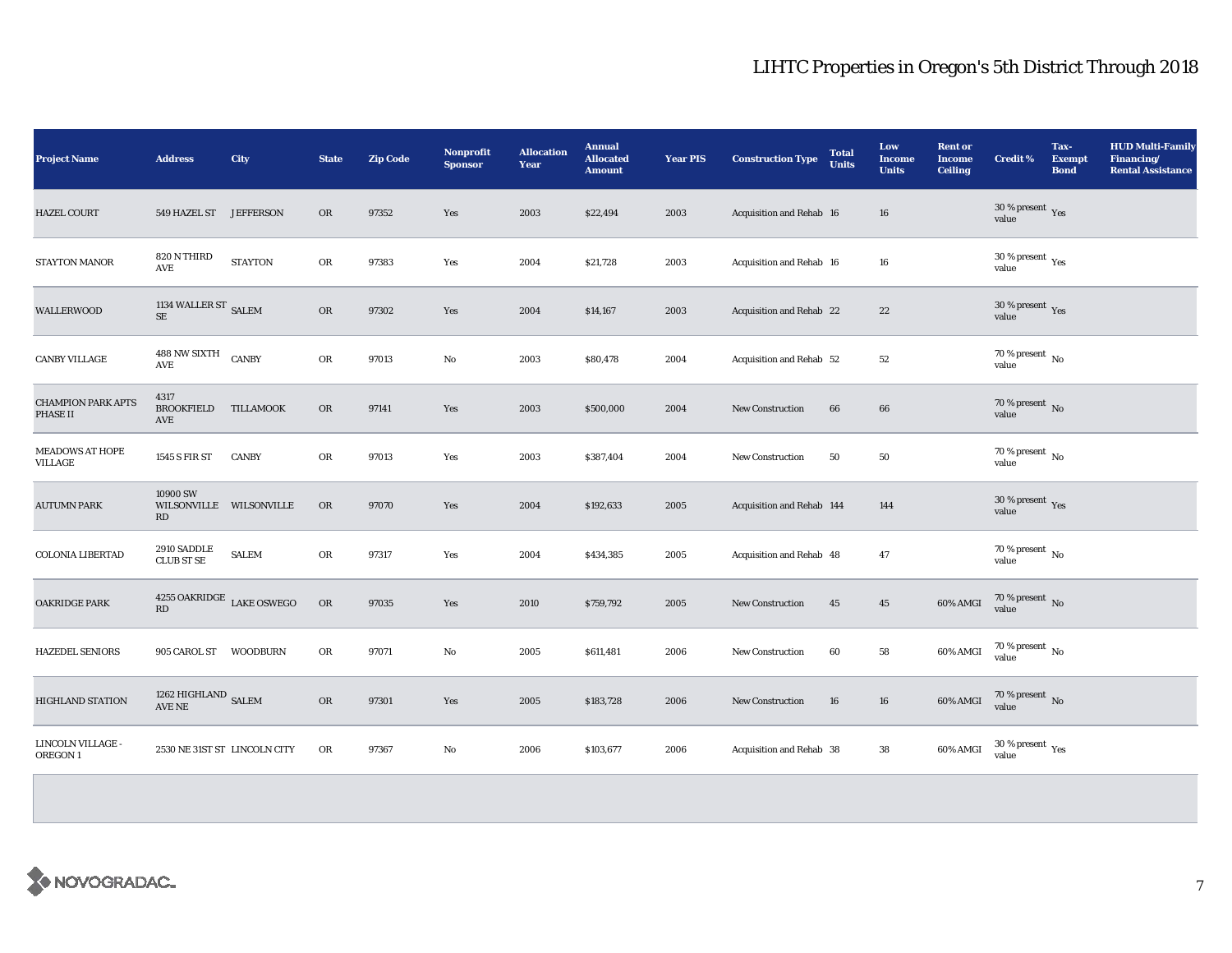| <b>Project Name</b>                   | <b>Address</b>                            | City           | <b>State</b> | <b>Zip Code</b> | <b>Nonprofit</b><br><b>Sponsor</b> | <b>Allocation</b><br>Year | <b>Annual</b><br><b>Allocated</b><br><b>Amount</b> | <b>Year PIS</b> | <b>Construction Type</b>  | <b>Total</b><br><b>Units</b> | Low<br><b>Income</b><br><b>Units</b> | <b>Rent or</b><br><b>Income</b><br><b>Ceiling</b> | <b>Credit %</b>                            | Tax-<br><b>Exempt</b><br><b>Bond</b> | <b>HUD Multi-Family</b><br>Financing/<br><b>Rental Assistance</b> |
|---------------------------------------|-------------------------------------------|----------------|--------------|-----------------|------------------------------------|---------------------------|----------------------------------------------------|-----------------|---------------------------|------------------------------|--------------------------------------|---------------------------------------------------|--------------------------------------------|--------------------------------------|-------------------------------------------------------------------|
| <b>HAZEL COURT</b>                    | 549 HAZEL ST JEFFERSON                    |                | OR           | 97352           | Yes                                | 2003                      | \$22,494                                           | 2003            | Acquisition and Rehab 16  |                              | $16\,$                               |                                                   | $30\,\%$ present $\,\mathrm{Yes}$ value    |                                      |                                                                   |
| STAYTON MANOR                         | 820 N THIRD<br>AVE                        | <b>STAYTON</b> | OR           | 97383           | Yes                                | 2004                      | \$21,728                                           | 2003            | Acquisition and Rehab 16  |                              | $16\,$                               |                                                   | $30\ \%$ present $\ _{\mbox{Yes}}$ value   |                                      |                                                                   |
| <b>WALLERWOOD</b>                     | 1134 WALLER ST $_{\rm SALEM}$             |                | OR           | 97302           | Yes                                | 2004                      | \$14,167                                           | 2003            | Acquisition and Rehab 22  |                              | $2\sqrt{2}$                          |                                                   | $30\,\%$ present $\,\mathrm{Yes}$ value    |                                      |                                                                   |
| <b>CANBY VILLAGE</b>                  | 488 NW SIXTH<br><b>AVE</b>                | <b>CANBY</b>   | OR           | 97013           | No                                 | 2003                      | \$80,478                                           | 2004            | Acquisition and Rehab 52  |                              | 52                                   |                                                   | $70\,\%$ present $\overline{N_0}$<br>value |                                      |                                                                   |
| <b>CHAMPION PARK APTS</b><br>PHASE II | 4317<br><b>BROOKFIELD</b><br>AVE          | TILLAMOOK      | OR           | 97141           | Yes                                | 2003                      | \$500,000                                          | 2004            | <b>New Construction</b>   | 66                           | 66                                   |                                                   | $70\,\%$ present $\,$ No value             |                                      |                                                                   |
| <b>MEADOWS AT HOPE</b><br>VILLAGE     | 1545 S FIR ST                             | <b>CANBY</b>   | OR           | 97013           | Yes                                | 2003                      | \$387,404                                          | 2004            | <b>New Construction</b>   | 50                           | ${\bf 50}$                           |                                                   | $70\,\%$ present $\,$ No value             |                                      |                                                                   |
| <b>AUTUMN PARK</b>                    | 10900 SW<br>WILSONVILLE WILSONVILLE<br>RD |                | OR           | 97070           | Yes                                | 2004                      | \$192,633                                          | 2005            | Acquisition and Rehab 144 |                              | 144                                  |                                                   | $30\,\%$ present $\,\mathrm{Yes}$ value    |                                      |                                                                   |
| <b>COLONIA LIBERTAD</b>               | 2910 SADDLE<br><b>CLUB ST SE</b>          | <b>SALEM</b>   | OR           | 97317           | Yes                                | 2004                      | \$434,385                                          | 2005            | Acquisition and Rehab 48  |                              | 47                                   |                                                   | $70\,\%$ present $\,$ No value             |                                      |                                                                   |
| <b>OAKRIDGE PARK</b>                  | $4255$ OAKRIDGE $\,$ LAKE OSWEGO<br>RD    |                | OR           | 97035           | Yes                                | 2010                      | \$759,792                                          | 2005            | <b>New Construction</b>   | 45                           | ${\bf 45}$                           | 60% AMGI                                          | $70\,\%$ present $\,$ No value             |                                      |                                                                   |
| <b>HAZEDEL SENIORS</b>                | 905 CAROL ST                              | WOODBURN       | OR           | 97071           | No                                 | 2005                      | \$611,481                                          | 2006            | <b>New Construction</b>   | 60                           | 58                                   | 60% AMGI                                          | $70\,\%$ present $\,$ No value             |                                      |                                                                   |
| <b>HIGHLAND STATION</b>               | 1262 HIGHLAND SALEM<br>AVE NE             |                | <b>OR</b>    | 97301           | Yes                                | 2005                      | \$183,728                                          | 2006            | <b>New Construction</b>   | 16                           | 16                                   | 60% AMGI                                          | $70\,\%$ present $\,$ No $\,$ value        |                                      |                                                                   |
| LINCOLN VILLAGE -<br>OREGON 1         | 2530 NE 31ST ST LINCOLN CITY              |                | ${\rm OR}$   | 97367           | No                                 | 2006                      | \$103,677                                          | 2006            | Acquisition and Rehab 38  |                              | 38                                   | 60% AMGI                                          | $30\,\%$ present $\,\mathrm{Yes}$ value    |                                      |                                                                   |